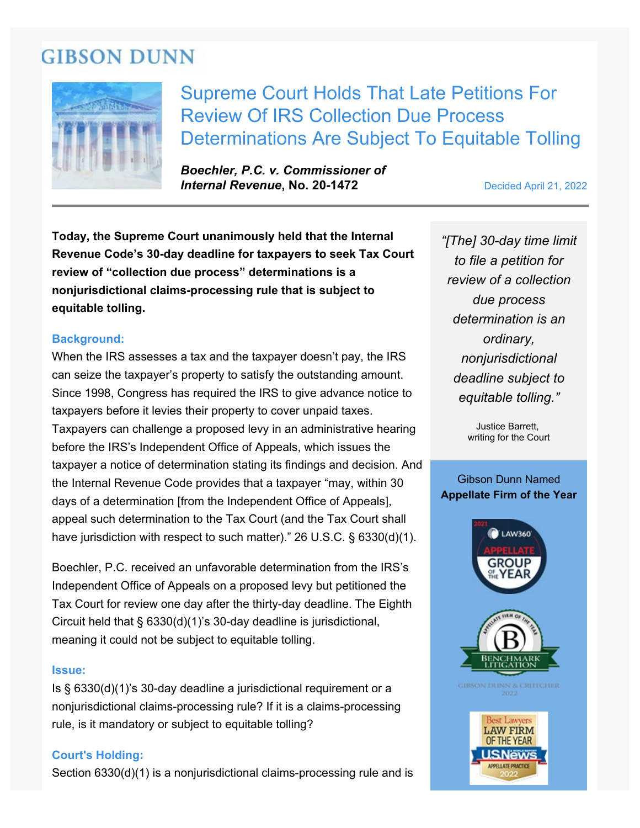# **GIBSON DUNN**



Supreme Court Holds That Late Petitions For Review Of IRS Collection Due Process Determinations Are Subject To Equitable Tolling

*Boechler, P.C. v. Commissioner of* **Internal Revenue, No. 20-1472** Decided April 21, 2022

**Today, the Supreme Court unanimously held that the Internal Revenue Code's 30-day deadline for taxpayers to seek Tax Court review of "collection due process" determinations is a nonjurisdictional claims-processing rule that is subject to equitable tolling.**

## **Background:**

When the IRS assesses a tax and the taxpayer doesn't pay, the IRS can seize the taxpayer's property to satisfy the outstanding amount. Since 1998, Congress has required the IRS to give advance notice to taxpayers before it levies their property to cover unpaid taxes. Taxpayers can challenge a proposed levy in an administrative hearing before the IRS's Independent Office of Appeals, which issues the taxpayer a notice of determination stating its findings and decision. And the Internal Revenue Code provides that a taxpayer "may, within 30 days of a determination [from the Independent Office of Appeals], appeal such determination to the Tax Court (and the Tax Court shall have jurisdiction with respect to such matter)." 26 U.S.C. § 6330(d)(1).

Boechler, P.C. received an unfavorable determination from the IRS's Independent Office of Appeals on a proposed levy but petitioned the Tax Court for review one day after the thirty-day deadline. The Eighth Circuit held that § 6330(d)(1)'s 30-day deadline is jurisdictional, meaning it could not be subject to equitable tolling.

#### **Issue:**

Is § 6330(d)(1)'s 30-day deadline a jurisdictional requirement or a nonjurisdictional claims-processing rule? If it is a claims-processing rule, is it mandatory or subject to equitable tolling?

### **Court's Holding:**

Section 6330(d)(1) is a nonjurisdictional claims-processing rule and is

*"[The] 30-day time limit to file a petition for review of a collection due process determination is an ordinary, nonjurisdictional deadline subject to equitable tolling."*

> Justice Barrett, writing for the Court

## Gibson Dunn Named **Appellate Firm of the Year**

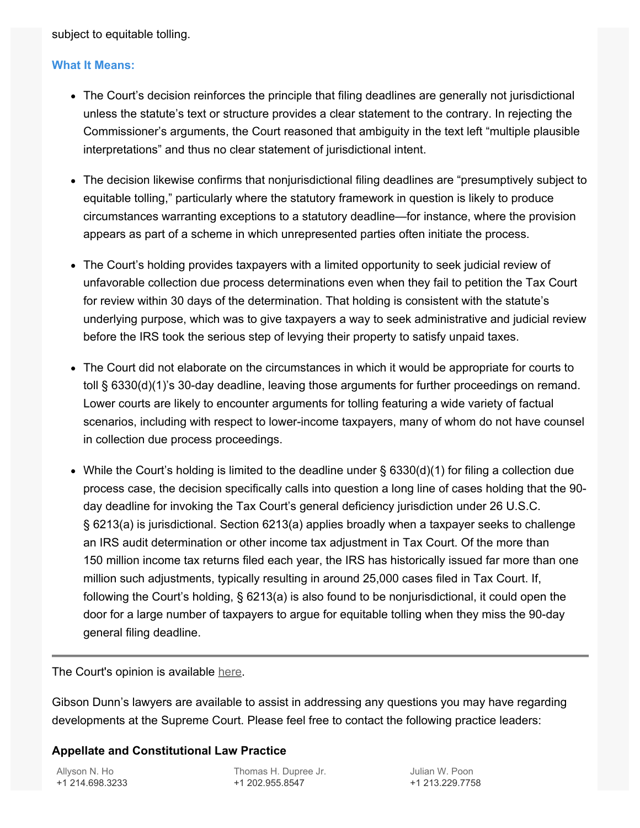subject to equitable tolling.

## **What It Means:**

- The Court's decision reinforces the principle that filing deadlines are generally not jurisdictional unless the statute's text or structure provides a clear statement to the contrary. In rejecting the Commissioner's arguments, the Court reasoned that ambiguity in the text left "multiple plausible interpretations" and thus no clear statement of jurisdictional intent.
- The decision likewise confirms that nonjurisdictional filing deadlines are "presumptively subject to equitable tolling," particularly where the statutory framework in question is likely to produce circumstances warranting exceptions to a statutory deadline—for instance, where the provision appears as part of a scheme in which unrepresented parties often initiate the process.
- The Court's holding provides taxpayers with a limited opportunity to seek judicial review of unfavorable collection due process determinations even when they fail to petition the Tax Court for review within 30 days of the determination. That holding is consistent with the statute's underlying purpose, which was to give taxpayers a way to seek administrative and judicial review before the IRS took the serious step of levying their property to satisfy unpaid taxes.
- The Court did not elaborate on the circumstances in which it would be appropriate for courts to toll § 6330(d)(1)'s 30-day deadline, leaving those arguments for further proceedings on remand. Lower courts are likely to encounter arguments for tolling featuring a wide variety of factual scenarios, including with respect to lower-income taxpayers, many of whom do not have counsel in collection due process proceedings.
- While the Court's holding is limited to the deadline under § 6330(d)(1) for filing a collection due process case, the decision specifically calls into question a long line of cases holding that the 90 day deadline for invoking the Tax Court's general deficiency jurisdiction under 26 U.S.C. § 6213(a) is jurisdictional. Section 6213(a) applies broadly when a taxpayer seeks to challenge an IRS audit determination or other income tax adjustment in Tax Court. Of the more than 150 million income tax returns filed each year, the IRS has historically issued far more than one million such adjustments, typically resulting in around 25,000 cases filed in Tax Court. If, following the Court's holding, § 6213(a) is also found to be nonjurisdictional, it could open the door for a large number of taxpayers to argue for equitable tolling when they miss the 90-day general filing deadline.

The Court's opinion is available [here.](https://www.supremecourt.gov/opinions/21pdf/20-1472_6j37.pdf)

Gibson Dunn's lawyers are available to assist in addressing any questions you may have regarding developments at the Supreme Court. Please feel free to contact the following practice leaders:

## **Appellate and Constitutional Law Practice**

[Allyson N. Ho](https://www.gibsondunn.com/lawyer/ho-allyson-n/) +1 214.698.3233 [Thomas H. Dupree Jr.](https://www.gibsondunn.com/lawyer/dupree-jr-thomas-h/) +1 202.955.8547

[Julian W. Poon](https://www.gibsondunn.com/lawyer/poon-julian-w/) +1 213.229.7758